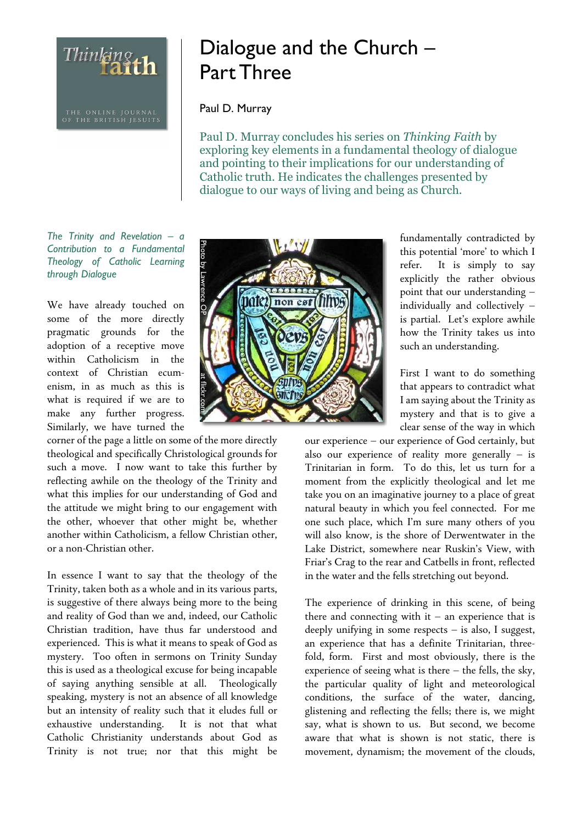THE ONLINE JOURNAL<br>OF THE BRITISH JESUITS

Thinking th

## Dialogue and the Church – Part Three

## Paul D. Murray

Paul D. Murray concludes his series on Thinking Faith by exploring key elements in a fundamental theology of dialogue and pointing to their implications for our understanding of Catholic truth. He indicates the challenges presented by dialogue to our ways of living and being as Church.

The Trinity and Revelation – a Contribution to a Fundamental Theology of Catholic Learning through Dialogue

We have already touched on some of the more directly pragmatic grounds for the adoption of a receptive move within Catholicism in the context of Christian ecumenism, in as much as this is what is required if we are to make any further progress. Similarly, we have turned the

corner of the page a little on some of the more directly theological and specifically Christological grounds for such a move. I now want to take this further by reflecting awhile on the theology of the Trinity and what this implies for our understanding of God and the attitude we might bring to our engagement with the other, whoever that other might be, whether another within Catholicism, a fellow Christian other, or a non-Christian other.

In essence I want to say that the theology of the Trinity, taken both as a whole and in its various parts, is suggestive of there always being more to the being and reality of God than we and, indeed, our Catholic Christian tradition, have thus far understood and experienced. This is what it means to speak of God as mystery. Too often in sermons on Trinity Sunday this is used as a theological excuse for being incapable of saying anything sensible at all. Theologically speaking, mystery is not an absence of all knowledge but an intensity of reality such that it eludes full or exhaustive understanding. It is not that what Catholic Christianity understands about God as Trinity is not true; nor that this might be



fundamentally contradicted by this potential 'more' to which I refer. It is simply to say explicitly the rather obvious point that our understanding – individually and collectively – is partial. Let's explore awhile how the Trinity takes us into such an understanding.

First I want to do something that appears to contradict what I am saying about the Trinity as mystery and that is to give a clear sense of the way in which

our experience – our experience of God certainly, but also our experience of reality more generally – is Trinitarian in form. To do this, let us turn for a moment from the explicitly theological and let me take you on an imaginative journey to a place of great natural beauty in which you feel connected. For me one such place, which I'm sure many others of you will also know, is the shore of Derwentwater in the Lake District, somewhere near Ruskin's View, with Friar's Crag to the rear and Catbells in front, reflected in the water and the fells stretching out beyond.

The experience of drinking in this scene, of being there and connecting with it – an experience that is deeply unifying in some respects – is also, I suggest, an experience that has a definite Trinitarian, threefold, form. First and most obviously, there is the experience of seeing what is there – the fells, the sky, the particular quality of light and meteorological conditions, the surface of the water, dancing, glistening and reflecting the fells; there is, we might say, what is shown to us. But second, we become aware that what is shown is not static, there is movement, dynamism; the movement of the clouds,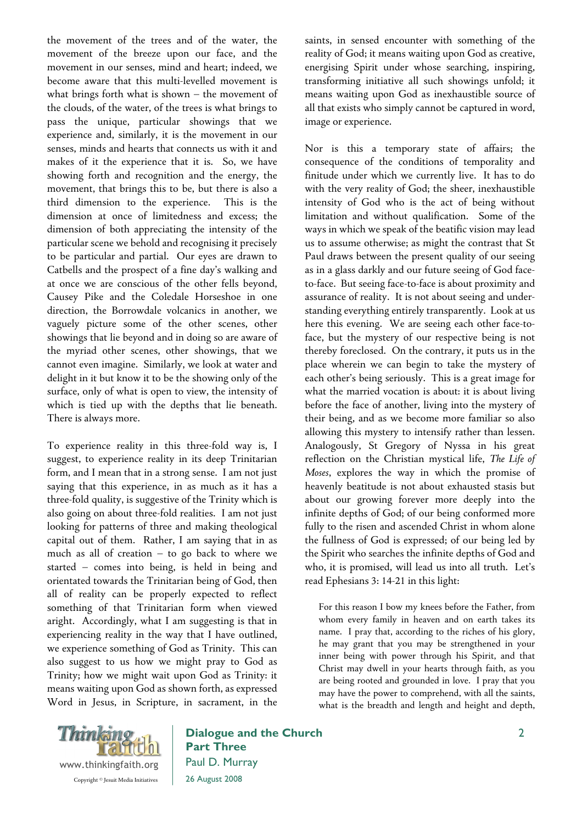the movement of the trees and of the water, the movement of the breeze upon our face, and the movement in our senses, mind and heart; indeed, we become aware that this multi-levelled movement is what brings forth what is shown – the movement of the clouds, of the water, of the trees is what brings to pass the unique, particular showings that we experience and, similarly, it is the movement in our senses, minds and hearts that connects us with it and makes of it the experience that it is. So, we have showing forth and recognition and the energy, the movement, that brings this to be, but there is also a third dimension to the experience. This is the dimension at once of limitedness and excess; the dimension of both appreciating the intensity of the particular scene we behold and recognising it precisely to be particular and partial. Our eyes are drawn to Catbells and the prospect of a fine day's walking and at once we are conscious of the other fells beyond, Causey Pike and the Coledale Horseshoe in one direction, the Borrowdale volcanics in another, we vaguely picture some of the other scenes, other showings that lie beyond and in doing so are aware of the myriad other scenes, other showings, that we cannot even imagine. Similarly, we look at water and delight in it but know it to be the showing only of the surface, only of what is open to view, the intensity of which is tied up with the depths that lie beneath. There is always more.

To experience reality in this three-fold way is, I suggest, to experience reality in its deep Trinitarian form, and I mean that in a strong sense. I am not just saying that this experience, in as much as it has a three-fold quality, is suggestive of the Trinity which is also going on about three-fold realities. I am not just looking for patterns of three and making theological capital out of them. Rather, I am saying that in as much as all of creation – to go back to where we started – comes into being, is held in being and orientated towards the Trinitarian being of God, then all of reality can be properly expected to reflect something of that Trinitarian form when viewed aright. Accordingly, what I am suggesting is that in experiencing reality in the way that I have outlined, we experience something of God as Trinity. This can also suggest to us how we might pray to God as Trinity; how we might wait upon God as Trinity: it means waiting upon God as shown forth, as expressed Word in Jesus, in Scripture, in sacrament, in the saints, in sensed encounter with something of the reality of God; it means waiting upon God as creative, energising Spirit under whose searching, inspiring, transforming initiative all such showings unfold; it means waiting upon God as inexhaustible source of all that exists who simply cannot be captured in word, image or experience.

Nor is this a temporary state of affairs; the consequence of the conditions of temporality and finitude under which we currently live. It has to do with the very reality of God; the sheer, inexhaustible intensity of God who is the act of being without limitation and without qualification. Some of the ways in which we speak of the beatific vision may lead us to assume otherwise; as might the contrast that St Paul draws between the present quality of our seeing as in a glass darkly and our future seeing of God faceto-face. But seeing face-to-face is about proximity and assurance of reality. It is not about seeing and understanding everything entirely transparently. Look at us here this evening. We are seeing each other face-toface, but the mystery of our respective being is not thereby foreclosed. On the contrary, it puts us in the place wherein we can begin to take the mystery of each other's being seriously. This is a great image for what the married vocation is about: it is about living before the face of another, living into the mystery of their being, and as we become more familiar so also allowing this mystery to intensify rather than lessen. Analogously, St Gregory of Nyssa in his great reflection on the Christian mystical life, *The Life of Moses*, explores the way in which the promise of heavenly beatitude is not about exhausted stasis but about our growing forever more deeply into the infinite depths of God; of our being conformed more fully to the risen and ascended Christ in whom alone the fullness of God is expressed; of our being led by the Spirit who searches the infinite depths of God and who, it is promised, will lead us into all truth. Let's read Ephesians 3: 14-21 in this light:

For this reason I bow my knees before the Father, from whom every family in heaven and on earth takes its name. I pray that, according to the riches of his glory, he may grant that you may be strengthened in your inner being with power through his Spirit, and that Christ may dwell in your hearts through faith, as you are being rooted and grounded in love. I pray that you may have the power to comprehend, with all the saints, what is the breadth and length and height and depth,



Dialogue and the Church Part Three Paul D. Murray 26 August 2008